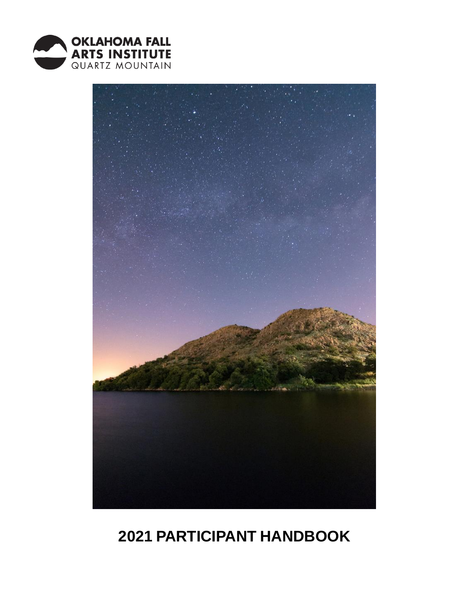



# **PARTICIPANT HANDBOOK**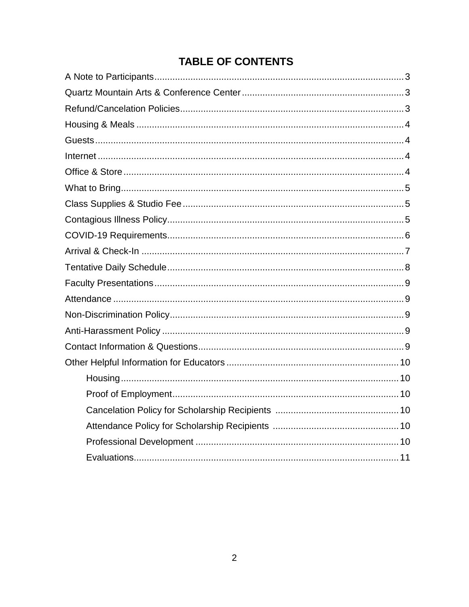# **TABLE OF CONTENTS**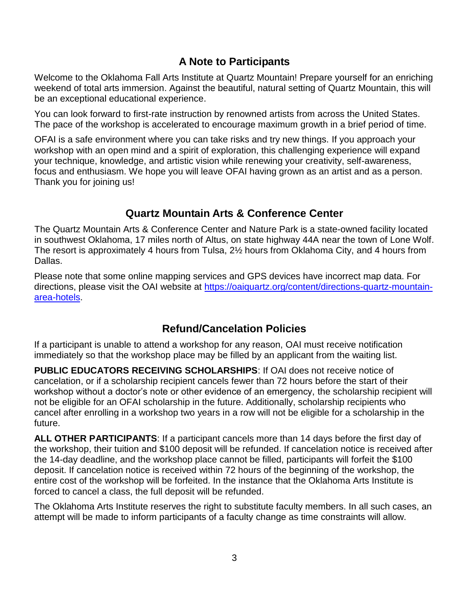### **A Note to Participants**

Welcome to the Oklahoma Fall Arts Institute at Quartz Mountain! Prepare yourself for an enriching weekend of total arts immersion. Against the beautiful, natural setting of Quartz Mountain, this will be an exceptional educational experience.

You can look forward to first-rate instruction by renowned artists from across the United States. The pace of the workshop is accelerated to encourage maximum growth in a brief period of time.

OFAI is a safe environment where you can take risks and try new things. If you approach your workshop with an open mind and a spirit of exploration, this challenging experience will expand your technique, knowledge, and artistic vision while renewing your creativity, self-awareness, focus and enthusiasm. We hope you will leave OFAI having grown as an artist and as a person. Thank you for joining us!

### **Quartz Mountain Arts & Conference Center**

The Quartz Mountain Arts & Conference Center and Nature Park is a state-owned facility located in southwest Oklahoma, 17 miles north of Altus, on state highway 44A near the town of Lone Wolf. The resort is approximately 4 hours from Tulsa, 2½ hours from Oklahoma City, and 4 hours from Dallas.

Please note that some online mapping services and GPS devices have incorrect map data. For directions, please visit the OAI website at [https://oaiquartz.org/content/directions-quartz-mountain](https://oaiquartz.org/content/directions-quartz-mountain-area-hotels)[area-hotels.](https://oaiquartz.org/content/directions-quartz-mountain-area-hotels)

## **Refund/Cancelation Policies**

If a participant is unable to attend a workshop for any reason, OAI must receive notification immediately so that the workshop place may be filled by an applicant from the waiting list.

**PUBLIC EDUCATORS RECEIVING SCHOLARSHIPS**: If OAI does not receive notice of cancelation, or if a scholarship recipient cancels fewer than 72 hours before the start of their workshop without a doctor's note or other evidence of an emergency, the scholarship recipient will not be eligible for an OFAI scholarship in the future. Additionally, scholarship recipients who cancel after enrolling in a workshop two years in a row will not be eligible for a scholarship in the future.

**ALL OTHER PARTICIPANTS**: If a participant cancels more than 14 days before the first day of the workshop, their tuition and \$100 deposit will be refunded. If cancelation notice is received after the 14-day deadline, and the workshop place cannot be filled, participants will forfeit the \$100 deposit. If cancelation notice is received within 72 hours of the beginning of the workshop, the entire cost of the workshop will be forfeited. In the instance that the Oklahoma Arts Institute is forced to cancel a class, the full deposit will be refunded.

The Oklahoma Arts Institute reserves the right to substitute faculty members. In all such cases, an attempt will be made to inform participants of a faculty change as time constraints will allow.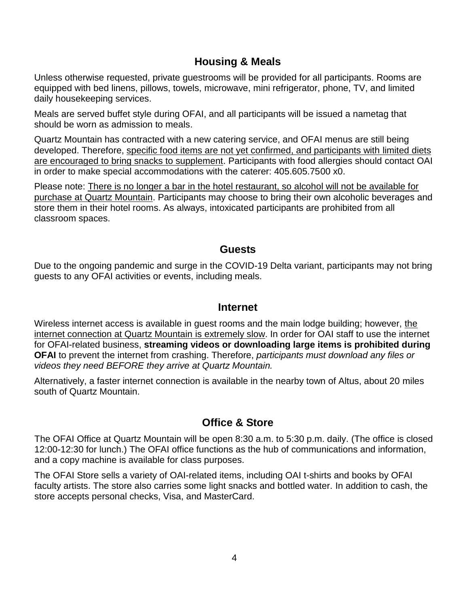### **Housing & Meals**

Unless otherwise requested, private guestrooms will be provided for all participants. Rooms are equipped with bed linens, pillows, towels, microwave, mini refrigerator, phone, TV, and limited daily housekeeping services.

Meals are served buffet style during OFAI, and all participants will be issued a nametag that should be worn as admission to meals.

Quartz Mountain has contracted with a new catering service, and OFAI menus are still being developed. Therefore, specific food items are not yet confirmed, and participants with limited diets are encouraged to bring snacks to supplement. Participants with food allergies should contact OAI in order to make special accommodations with the caterer: 405.605.7500 x0.

Please note: There is no longer a bar in the hotel restaurant, so alcohol will not be available for purchase at Quartz Mountain. Participants may choose to bring their own alcoholic beverages and store them in their hotel rooms. As always, intoxicated participants are prohibited from all classroom spaces.

### **Guests**

Due to the ongoing pandemic and surge in the COVID-19 Delta variant, participants may not bring guests to any OFAI activities or events, including meals.

### **Internet**

Wireless internet access is available in guest rooms and the main lodge building; however, the internet connection at Quartz Mountain is extremely slow. In order for OAI staff to use the internet for OFAI-related business, **streaming videos or downloading large items is prohibited during OFAI** to prevent the internet from crashing. Therefore, *participants must download any files or videos they need BEFORE they arrive at Quartz Mountain.*

Alternatively, a faster internet connection is available in the nearby town of Altus, about 20 miles south of Quartz Mountain.

## **Office & Store**

The OFAI Office at Quartz Mountain will be open 8:30 a.m. to 5:30 p.m. daily. (The office is closed 12:00-12:30 for lunch.) The OFAI office functions as the hub of communications and information, and a copy machine is available for class purposes.

The OFAI Store sells a variety of OAI-related items, including OAI t-shirts and books by OFAI faculty artists. The store also carries some light snacks and bottled water. In addition to cash, the store accepts personal checks, Visa, and MasterCard.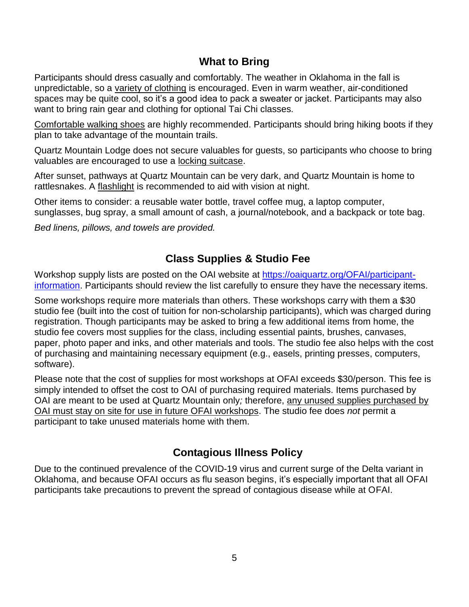### **What to Bring**

Participants should dress casually and comfortably. The weather in Oklahoma in the fall is unpredictable, so a variety of clothing is encouraged. Even in warm weather, air-conditioned spaces may be quite cool, so it's a good idea to pack a sweater or jacket. Participants may also want to bring rain gear and clothing for optional Tai Chi classes.

Comfortable walking shoes are highly recommended. Participants should bring hiking boots if they plan to take advantage of the mountain trails.

Quartz Mountain Lodge does not secure valuables for guests, so participants who choose to bring valuables are encouraged to use a locking suitcase.

After sunset, pathways at Quartz Mountain can be very dark, and Quartz Mountain is home to rattlesnakes. A flashlight is recommended to aid with vision at night.

Other items to consider: a reusable water bottle, travel coffee mug, a laptop computer, sunglasses, bug spray, a small amount of cash, a journal/notebook, and a backpack or tote bag.

*Bed linens, pillows, and towels are provided.*

### **Class Supplies & Studio Fee**

Workshop supply lists are posted on the OAI website at [https://oaiquartz.org/OFAI/participant](https://oaiquartz.org/OFAI/participant-information)[information.](https://oaiquartz.org/OFAI/participant-information) Participants should review the list carefully to ensure they have the necessary items.

Some workshops require more materials than others. These workshops carry with them a \$30 studio fee (built into the cost of tuition for non-scholarship participants), which was charged during registration. Though participants may be asked to bring a few additional items from home, the studio fee covers most supplies for the class, including essential paints, brushes, canvases, paper, photo paper and inks, and other materials and tools. The studio fee also helps with the cost of purchasing and maintaining necessary equipment (e.g., easels, printing presses, computers, software).

Please note that the cost of supplies for most workshops at OFAI exceeds \$30/person. This fee is simply intended to offset the cost to OAI of purchasing required materials. Items purchased by OAI are meant to be used at Quartz Mountain only*;* therefore, any unused supplies purchased by OAI must stay on site for use in future OFAI workshops. The studio fee does *not* permit a participant to take unused materials home with them.

## **Contagious Illness Policy**

Due to the continued prevalence of the COVID-19 virus and current surge of the Delta variant in Oklahoma, and because OFAI occurs as flu season begins, it's especially important that all OFAI participants take precautions to prevent the spread of contagious disease while at OFAI.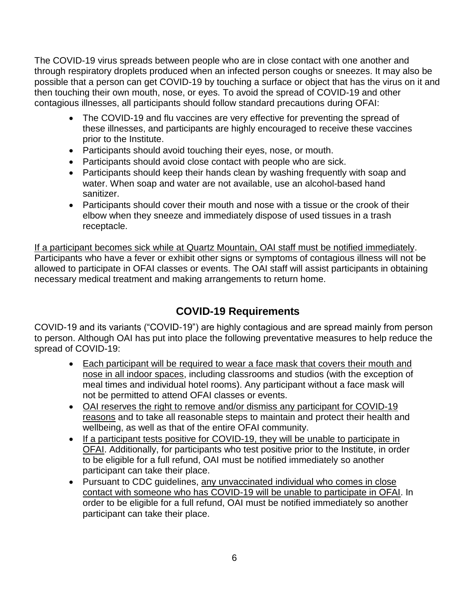The COVID-19 virus spreads between people who are in close contact with one another and through respiratory droplets produced when an infected person coughs or sneezes. It may also be possible that a person can get COVID-19 by touching a surface or object that has the virus on it and then touching their own mouth, nose, or eyes. To avoid the spread of COVID-19 and other contagious illnesses, all participants should follow standard precautions during OFAI:

- The COVID-19 and flu vaccines are very effective for preventing the spread of these illnesses, and participants are highly encouraged to receive these vaccines prior to the Institute.
- Participants should avoid touching their eyes, nose, or mouth.
- Participants should avoid close contact with people who are sick.
- Participants should keep their hands clean by washing frequently with soap and water. When soap and water are not available, use an alcohol-based hand sanitizer.
- Participants should cover their mouth and nose with a tissue or the crook of their elbow when they sneeze and immediately dispose of used tissues in a trash receptacle.

If a participant becomes sick while at Quartz Mountain, OAI staff must be notified immediately. Participants who have a fever or exhibit other signs or symptoms of contagious illness will not be allowed to participate in OFAI classes or events. The OAI staff will assist participants in obtaining necessary medical treatment and making arrangements to return home.

## **COVID-19 Requirements**

COVID-19 and its variants ("COVID-19") are highly contagious and are spread mainly from person to person. Although OAI has put into place the following preventative measures to help reduce the spread of COVID-19:

- Each participant will be required to wear a face mask that covers their mouth and nose in all indoor spaces, including classrooms and studios (with the exception of meal times and individual hotel rooms). Any participant without a face mask will not be permitted to attend OFAI classes or events.
- OAI reserves the right to remove and/or dismiss any participant for COVID-19 reasons and to take all reasonable steps to maintain and protect their health and wellbeing, as well as that of the entire OFAI community.
- If a participant tests positive for COVID-19, they will be unable to participate in OFAI. Additionally, for participants who test positive prior to the Institute, in order to be eligible for a full refund, OAI must be notified immediately so another participant can take their place.
- Pursuant to CDC guidelines, any unvaccinated individual who comes in close contact with someone who has COVID-19 will be unable to participate in OFAI. In order to be eligible for a full refund, OAI must be notified immediately so another participant can take their place.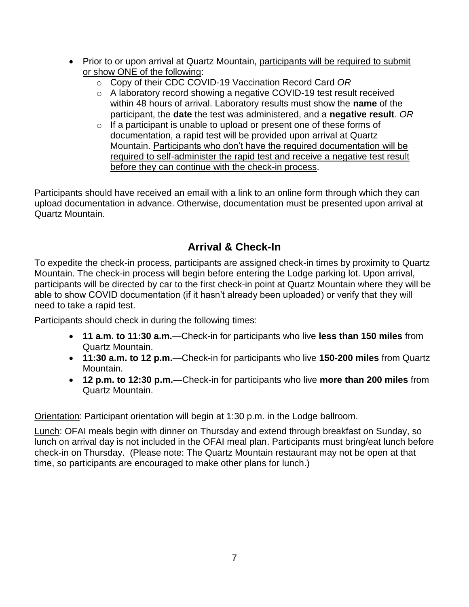- Prior to or upon arrival at Quartz Mountain, participants will be required to submit or show ONE of the following:
	- o Copy of their CDC COVID-19 Vaccination Record Card *OR*
	- o A laboratory record showing a negative COVID-19 test result received within 48 hours of arrival. Laboratory results must show the **name** of the participant, the **date** the test was administered, and a **negative result***. OR*
	- $\circ$  If a participant is unable to upload or present one of these forms of documentation, a rapid test will be provided upon arrival at Quartz Mountain. Participants who don't have the required documentation will be required to self-administer the rapid test and receive a negative test result before they can continue with the check-in process.

Participants should have received an email with a link to an online form through which they can upload documentation in advance. Otherwise, documentation must be presented upon arrival at Quartz Mountain.

# **Arrival & Check-In**

To expedite the check-in process, participants are assigned check-in times by proximity to Quartz Mountain. The check-in process will begin before entering the Lodge parking lot. Upon arrival, participants will be directed by car to the first check-in point at Quartz Mountain where they will be able to show COVID documentation (if it hasn't already been uploaded) or verify that they will need to take a rapid test.

Participants should check in during the following times:

- **11 a.m. to 11:30 a.m.**—Check-in for participants who live **less than 150 miles** from Quartz Mountain.
- **11:30 a.m. to 12 p.m.**—Check-in for participants who live **150-200 miles** from Quartz Mountain.
- **12 p.m. to 12:30 p.m.**—Check-in for participants who live **more than 200 miles** from Quartz Mountain.

Orientation: Participant orientation will begin at 1:30 p.m. in the Lodge ballroom.

Lunch: OFAI meals begin with dinner on Thursday and extend through breakfast on Sunday, so lunch on arrival day is not included in the OFAI meal plan. Participants must bring/eat lunch before check-in on Thursday. (Please note: The Quartz Mountain restaurant may not be open at that time, so participants are encouraged to make other plans for lunch.)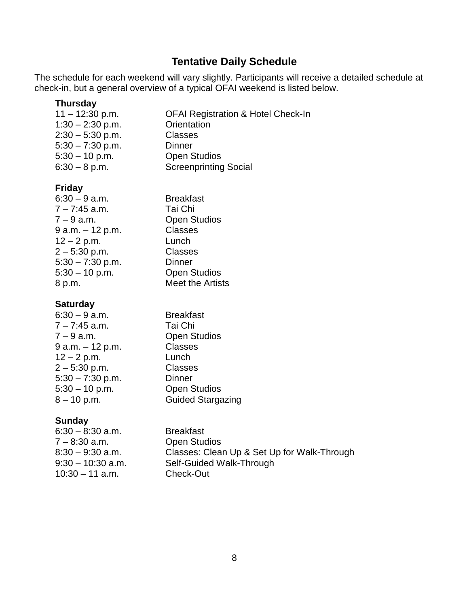# **Tentative Daily Schedule**

The schedule for each weekend will vary slightly. Participants will receive a detailed schedule at check-in, but a general overview of a typical OFAI weekend is listed below.

### **Thursday**

| $11 - 12:30$ p.m.  | <b>OFAI Registration &amp; Hotel Check-In</b> |
|--------------------|-----------------------------------------------|
| $1:30 - 2:30$ p.m. | Orientation                                   |
| $2:30 - 5:30$ p.m. | <b>Classes</b>                                |
| $5:30 - 7:30$ p.m. | <b>Dinner</b>                                 |
| $5:30 - 10$ p.m.   | <b>Open Studios</b>                           |
| $6:30 - 8$ p.m.    | <b>Screenprinting Social</b>                  |
|                    |                                               |

### **Friday**

| $6:30 - 9$ a.m.    | <b>Breakfast</b>    |
|--------------------|---------------------|
| $7 - 7:45$ a.m.    | Tai Chi             |
| $7 - 9$ a.m.       | <b>Open Studios</b> |
| $9 a.m. - 12 p.m.$ | <b>Classes</b>      |
| $12 - 2 p.m.$      | Lunch               |
| $2 - 5:30$ p.m.    | <b>Classes</b>      |
| $5:30 - 7:30$ p.m. | <b>Dinner</b>       |
| $5:30 - 10$ p.m.   | <b>Open Studios</b> |
| 8 p.m.             | Meet the Artists    |
|                    |                     |

#### **Saturday**

| $6:30 - 9$ a.m.    | <b>Breakfast</b>         |  |
|--------------------|--------------------------|--|
| $7 - 7:45$ a.m.    | Tai Chi                  |  |
| $7 - 9$ a.m.       | <b>Open Studios</b>      |  |
| 9 a.m. - 12 p.m.   | <b>Classes</b>           |  |
| $12 - 2 p.m.$      | Lunch                    |  |
| $2 - 5:30$ p.m.    | <b>Classes</b>           |  |
| $5:30 - 7:30$ p.m. | <b>Dinner</b>            |  |
| $5:30 - 10$ p.m.   | <b>Open Studios</b>      |  |
| $8 - 10$ p.m.      | <b>Guided Stargazing</b> |  |

#### **Sunday**

| $6:30 - 8:30$ a.m.  | <b>Breakfast</b>                            |
|---------------------|---------------------------------------------|
| 7 – 8:30 a.m.       | <b>Open Studios</b>                         |
| $8:30 - 9:30$ a.m.  | Classes: Clean Up & Set Up for Walk-Through |
| $9:30 - 10:30$ a.m. | Self-Guided Walk-Through                    |
| $10:30 - 11$ a.m.   | Check-Out                                   |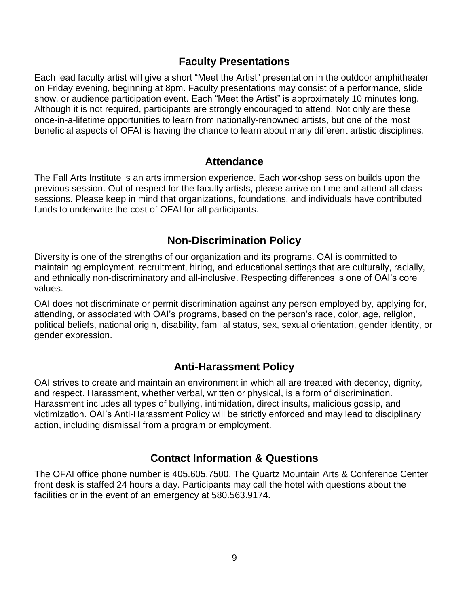### **Faculty Presentations**

Each lead faculty artist will give a short "Meet the Artist" presentation in the outdoor amphitheater on Friday evening, beginning at 8pm. Faculty presentations may consist of a performance, slide show, or audience participation event. Each "Meet the Artist" is approximately 10 minutes long. Although it is not required, participants are strongly encouraged to attend. Not only are these once-in-a-lifetime opportunities to learn from nationally-renowned artists, but one of the most beneficial aspects of OFAI is having the chance to learn about many different artistic disciplines.

### **Attendance**

The Fall Arts Institute is an arts immersion experience. Each workshop session builds upon the previous session. Out of respect for the faculty artists, please arrive on time and attend all class sessions. Please keep in mind that organizations, foundations, and individuals have contributed funds to underwrite the cost of OFAI for all participants.

### **Non-Discrimination Policy**

Diversity is one of the strengths of our organization and its programs. OAI is committed to maintaining employment, recruitment, hiring, and educational settings that are culturally, racially, and ethnically non-discriminatory and all-inclusive. Respecting differences is one of OAI's core values.

OAI does not discriminate or permit discrimination against any person employed by, applying for, attending, or associated with OAI's programs, based on the person's race, color, age, religion, political beliefs, national origin, disability, familial status, sex, sexual orientation, gender identity, or gender expression.

## **Anti-Harassment Policy**

OAI strives to create and maintain an environment in which all are treated with decency, dignity, and respect. Harassment, whether verbal, written or physical, is a form of discrimination. Harassment includes all types of bullying, intimidation, direct insults, malicious gossip, and victimization. OAI's Anti-Harassment Policy will be strictly enforced and may lead to disciplinary action, including dismissal from a program or employment.

### **Contact Information & Questions**

The OFAI office phone number is 405.605.7500. The Quartz Mountain Arts & Conference Center front desk is staffed 24 hours a day. Participants may call the hotel with questions about the facilities or in the event of an emergency at 580.563.9174.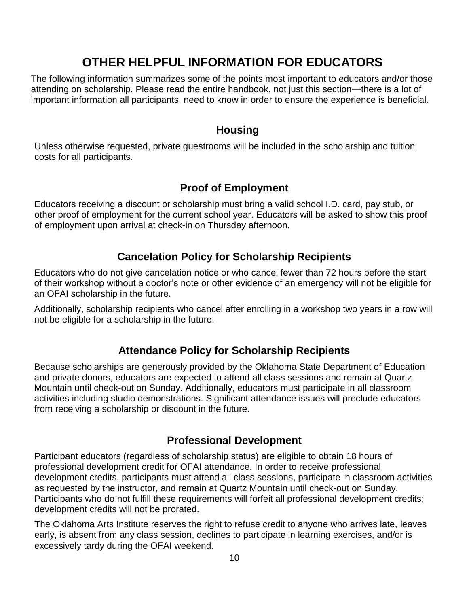# **OTHER HELPFUL INFORMATION FOR EDUCATORS**

The following information summarizes some of the points most important to educators and/or those attending on scholarship. Please read the entire handbook, not just this section—there is a lot of important information all participants need to know in order to ensure the experience is beneficial.

### **Housing**

Unless otherwise requested, private guestrooms will be included in the scholarship and tuition costs for all participants.

### **Proof of Employment**

Educators receiving a discount or scholarship must bring a valid school I.D. card, pay stub, or other proof of employment for the current school year. Educators will be asked to show this proof of employment upon arrival at check-in on Thursday afternoon.

# **Cancelation Policy for Scholarship Recipients**

Educators who do not give cancelation notice or who cancel fewer than 72 hours before the start of their workshop without a doctor's note or other evidence of an emergency will not be eligible for an OFAI scholarship in the future.

Additionally, scholarship recipients who cancel after enrolling in a workshop two years in a row will not be eligible for a scholarship in the future.

# **Attendance Policy for Scholarship Recipients**

Because scholarships are generously provided by the Oklahoma State Department of Education and private donors, educators are expected to attend all class sessions and remain at Quartz Mountain until check-out on Sunday. Additionally, educators must participate in all classroom activities including studio demonstrations. Significant attendance issues will preclude educators from receiving a scholarship or discount in the future.

## **Professional Development**

Participant educators (regardless of scholarship status) are eligible to obtain 18 hours of professional development credit for OFAI attendance. In order to receive professional development credits, participants must attend all class sessions, participate in classroom activities as requested by the instructor, and remain at Quartz Mountain until check-out on Sunday. Participants who do not fulfill these requirements will forfeit all professional development credits; development credits will not be prorated.

The Oklahoma Arts Institute reserves the right to refuse credit to anyone who arrives late, leaves early, is absent from any class session, declines to participate in learning exercises, and/or is excessively tardy during the OFAI weekend.